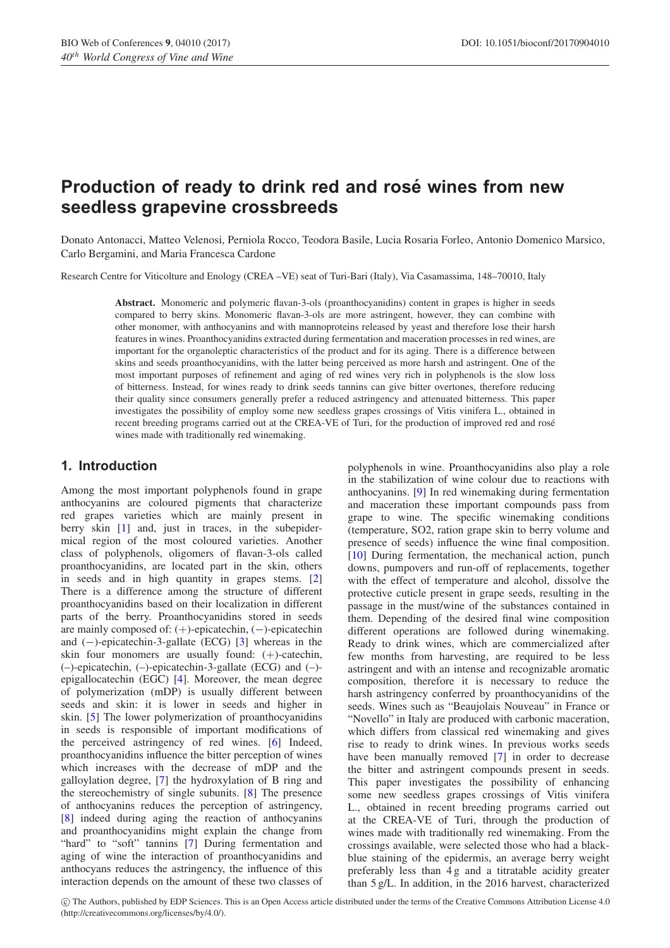# **Production of ready to drink red and rosé wines from new seedless grapevine crossbreeds**

Donato Antonacci, Matteo Velenosi, Perniola Rocco, Teodora Basile, Lucia Rosaria Forleo, Antonio Domenico Marsico, Carlo Bergamini, and Maria Francesca Cardone

Research Centre for Viticolture and Enology (CREA –VE) seat of Turi-Bari (Italy), Via Casamassima, 148–70010, Italy

**Abstract.** Monomeric and polymeric flavan-3-ols (proanthocyanidins) content in grapes is higher in seeds compared to berry skins. Monomeric flavan-3-ols are more astringent, however, they can combine with other monomer, with anthocyanins and with mannoproteins released by yeast and therefore lose their harsh features in wines. Proanthocyanidins extracted during fermentation and maceration processes in red wines, are important for the organoleptic characteristics of the product and for its aging. There is a difference between skins and seeds proanthocyanidins, with the latter being perceived as more harsh and astringent. One of the most important purposes of refinement and aging of red wines very rich in polyphenols is the slow loss of bitterness. Instead, for wines ready to drink seeds tannins can give bitter overtones, therefore reducing their quality since consumers generally prefer a reduced astringency and attenuated bitterness. This paper investigates the possibility of employ some new seedless grapes crossings of Vitis vinifera L., obtained in recent breeding programs carried out at the CREA-VE of Turi, for the production of improved red and rose´ wines made with traditionally red winemaking.

# **1. Introduction**

Among the most important polyphenols found in grape anthocyanins are coloured pigments that characterize red grapes varieties which are mainly present in berry skin [\[1\]](#page-5-0) and, just in traces, in the subepidermical region of the most coloured varieties. Another class of polyphenols, oligomers of flavan-3-ols called proanthocyanidins, are located part in the skin, others in seeds and in high quantity in grapes stems. [\[2\]](#page-5-1) There is a difference among the structure of different proanthocyanidins based on their localization in different parts of the berry. Proanthocyanidins stored in seeds are mainly composed of: (+)-epicatechin, (−)-epicatechin and (−)-epicatechin-3-gallate (ECG) [\[3](#page-5-2)] whereas in the skin four monomers are usually found:  $(+)$ -catechin, (–)-epicatechin, (–)-epicatechin-3-gallate (ECG) and (–) epigallocatechin (EGC) [\[4\]](#page-5-3). Moreover, the mean degree of polymerization (mDP) is usually different between seeds and skin: it is lower in seeds and higher in skin. [\[5](#page-5-4)] The lower polymerization of proanthocyanidins in seeds is responsible of important modifications of the perceived astringency of red wines. [\[6\]](#page-5-5) Indeed, proanthocyanidins influence the bitter perception of wines which increases with the decrease of mDP and the galloylation degree, [\[7](#page-5-6)] the hydroxylation of B ring and the stereochemistry of single subunits. [\[8\]](#page-5-7) The presence of anthocyanins reduces the perception of astringency, [\[8](#page-5-7)] indeed during aging the reaction of anthocyanins and proanthocyanidins might explain the change from "hard" to "soft" tannins [\[7](#page-5-6)] During fermentation and aging of wine the interaction of proanthocyanidins and anthocyans reduces the astringency, the influence of this interaction depends on the amount of these two classes of

polyphenols in wine. Proanthocyanidins also play a role in the stabilization of wine colour due to reactions with anthocyanins. [\[9](#page-5-8)] In red winemaking during fermentation and maceration these important compounds pass from grape to wine. The specific winemaking conditions (temperature, SO2, ration grape skin to berry volume and presence of seeds) influence the wine final composition. [\[10](#page-5-9)] During fermentation, the mechanical action, punch downs, pumpovers and run-off of replacements, together with the effect of temperature and alcohol, dissolve the protective cuticle present in grape seeds, resulting in the passage in the must/wine of the substances contained in them. Depending of the desired final wine composition different operations are followed during winemaking. Ready to drink wines, which are commercialized after few months from harvesting, are required to be less astringent and with an intense and recognizable aromatic composition, therefore it is necessary to reduce the harsh astringency conferred by proanthocyanidins of the seeds. Wines such as "Beaujolais Nouveau" in France or "Novello" in Italy are produced with carbonic maceration, which differs from classical red winemaking and gives rise to ready to drink wines. In previous works seeds have been manually removed [\[7\]](#page-5-6) in order to decrease the bitter and astringent compounds present in seeds. This paper investigates the possibility of enhancing some new seedless grapes crossings of Vitis vinifera L., obtained in recent breeding programs carried out at the CREA-VE of Turi, through the production of wines made with traditionally red winemaking. From the crossings available, were selected those who had a blackblue staining of the epidermis, an average berry weight preferably less than 4 g and a titratable acidity greater than 5 g/L. In addition, in the 2016 harvest, characterized

c The Authors, published by EDP Sciences. This is an Open Access article distributed under the terms of the Creative Commons Attribution License 4.0 (http://creativecommons.org/licenses/by/4.0/).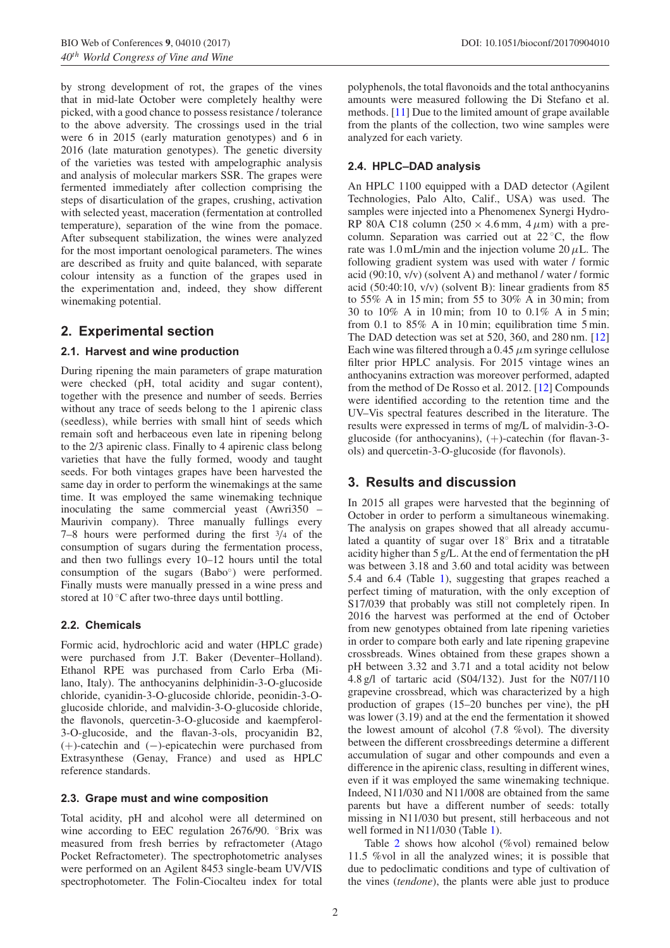by strong development of rot, the grapes of the vines that in mid-late October were completely healthy were picked, with a good chance to possess resistance / tolerance to the above adversity. The crossings used in the trial were 6 in 2015 (early maturation genotypes) and 6 in 2016 (late maturation genotypes). The genetic diversity of the varieties was tested with ampelographic analysis and analysis of molecular markers SSR. The grapes were fermented immediately after collection comprising the steps of disarticulation of the grapes, crushing, activation with selected yeast, maceration (fermentation at controlled temperature), separation of the wine from the pomace. After subsequent stabilization, the wines were analyzed for the most important oenological parameters. The wines are described as fruity and quite balanced, with separate colour intensity as a function of the grapes used in the experimentation and, indeed, they show different winemaking potential.

# **2. Experimental section**

## **2.1. Harvest and wine production**

During ripening the main parameters of grape maturation were checked (pH, total acidity and sugar content), together with the presence and number of seeds. Berries without any trace of seeds belong to the 1 apirenic class (seedless), while berries with small hint of seeds which remain soft and herbaceous even late in ripening belong to the 2/3 apirenic class. Finally to 4 apirenic class belong varieties that have the fully formed, woody and taught seeds. For both vintages grapes have been harvested the same day in order to perform the winemakings at the same time. It was employed the same winemaking technique inoculating the same commercial yeast (Awri350 – Maurivin company). Three manually fullings every 7–8 hours were performed during the first <sup>3</sup>*/*<sup>4</sup> of the consumption of sugars during the fermentation process, and then two fullings every 10–12 hours until the total consumption of the sugars (Babo<sup>°</sup>) were performed. Finally musts were manually pressed in a wine press and stored at 10 ◦C after two-three days until bottling.

### **2.2. Chemicals**

Formic acid, hydrochloric acid and water (HPLC grade) were purchased from J.T. Baker (Deventer–Holland). Ethanol RPE was purchased from Carlo Erba (Milano, Italy). The anthocyanins delphinidin-3-O-glucoside chloride, cyanidin-3-O-glucoside chloride, peonidin-3-Oglucoside chloride, and malvidin-3-O-glucoside chloride, the flavonols, quercetin-3-O-glucoside and kaempferol-3-O-glucoside, and the flavan-3-ols, procyanidin B2, (+)-catechin and (−)-epicatechin were purchased from Extrasynthese (Genay, France) and used as HPLC reference standards.

### **2.3. Grape must and wine composition**

Total acidity, pH and alcohol were all determined on wine according to EEC regulation 2676/90. °Brix was measured from fresh berries by refractometer (Atago Pocket Refractometer). The spectrophotometric analyses were performed on an Agilent 8453 single-beam UV/VIS spectrophotometer. The Folin-Ciocalteu index for total polyphenols, the total flavonoids and the total anthocyanins amounts were measured following the Di Stefano et al. methods. [\[11\]](#page-5-10) Due to the limited amount of grape available from the plants of the collection, two wine samples were analyzed for each variety.

## **2.4. HPLC–DAD analysis**

An HPLC 1100 equipped with a DAD detector (Agilent Technologies, Palo Alto, Calif., USA) was used. The samples were injected into a Phenomenex Synergi Hydro-RP 80A C18 column  $(250 \times 4.6 \text{ mm}, 4 \mu \text{m})$  with a precolumn. Separation was carried out at  $22^\circ$ C, the flow rate was 1.0 mL/min and the injection volume  $20 \mu L$ . The following gradient system was used with water / formic acid (90:10, v/v) (solvent A) and methanol / water / formic acid (50:40:10, v/v) (solvent B): linear gradients from 85 to 55% A in 15 min; from 55 to 30% A in 30 min; from 30 to 10% A in 10 min; from 10 to 0.1% A in 5 min; from 0.1 to 85% A in 10 min; equilibration time 5 min. The DAD detection was set at 520, 360, and 280 nm. [\[12\]](#page-5-11) Each wine was filtered through a  $0.45 \mu$ m syringe cellulose filter prior HPLC analysis. For 2015 vintage wines an anthocyanins extraction was moreover performed, adapted from the method of De Rosso et al. 2012. [\[12\]](#page-5-11) Compounds were identified according to the retention time and the UV–Vis spectral features described in the literature. The results were expressed in terms of mg/L of malvidin-3-Oglucoside (for anthocyanins), (+)-catechin (for flavan-3 ols) and quercetin-3-O-glucoside (for flavonols).

# **3. Results and discussion**

In 2015 all grapes were harvested that the beginning of October in order to perform a simultaneous winemaking. The analysis on grapes showed that all already accumulated a quantity of sugar over 18◦ Brix and a titratable acidity higher than 5 g/L. At the end of fermentation the pH was between 3.18 and 3.60 and total acidity was between 5.4 and 6.4 (Table [1\)](#page-2-0), suggesting that grapes reached a perfect timing of maturation, with the only exception of S17/039 that probably was still not completely ripen. In 2016 the harvest was performed at the end of October from new genotypes obtained from late ripening varieties in order to compare both early and late ripening grapevine crossbreads. Wines obtained from these grapes shown a pH between 3.32 and 3.71 and a total acidity not below 4.8 g/l of tartaric acid (S04/132). Just for the N07/110 grapevine crossbread, which was characterized by a high production of grapes (15–20 bunches per vine), the pH was lower (3.19) and at the end the fermentation it showed the lowest amount of alcohol (7.8 %vol). The diversity between the different crossbreedings determine a different accumulation of sugar and other compounds and even a difference in the apirenic class, resulting in different wines, even if it was employed the same winemaking technique. Indeed, N11/030 and N11/008 are obtained from the same parents but have a different number of seeds: totally missing in N11/030 but present, still herbaceous and not well formed in N11/030 (Table [1\)](#page-2-0).

Table [2](#page-2-1) shows how alcohol (%vol) remained below 11.5 %vol in all the analyzed wines; it is possible that due to pedoclimatic conditions and type of cultivation of the vines (*tendone*), the plants were able just to produce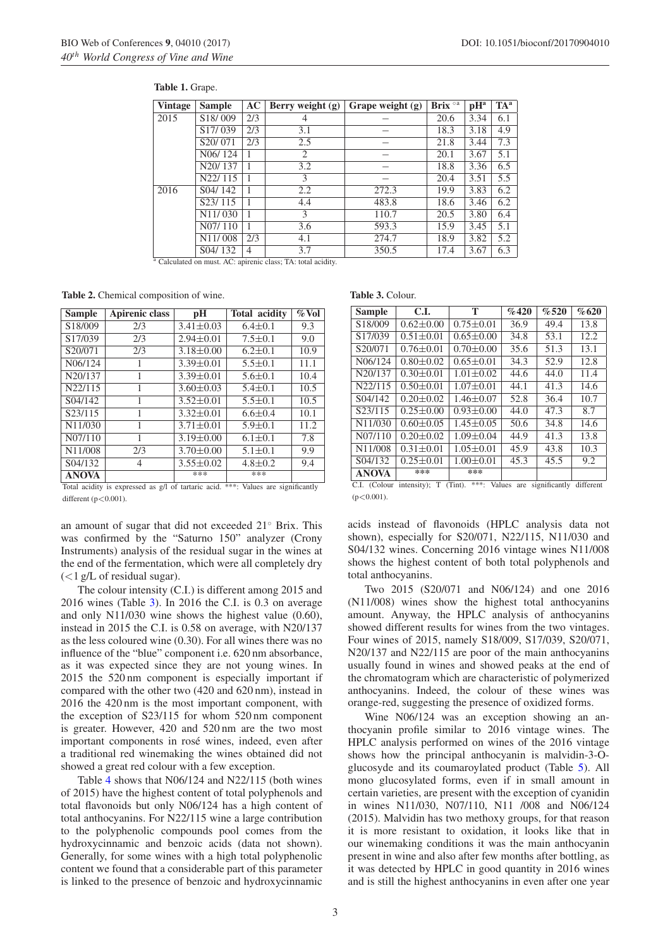| <b>Vintage</b> | <b>Sample</b>                    | AC             | Berry weight $(g)$ | Grape weight $(g)$ | Brix <sup>oa</sup> | $\mathbf{p}$ H <sup>a</sup> | TA <sup>a</sup> |
|----------------|----------------------------------|----------------|--------------------|--------------------|--------------------|-----------------------------|-----------------|
| 2015           | S <sub>18</sub> /009             | 2/3            | 4                  |                    | 20.6               | 3.34                        | 6.1             |
|                | S <sub>17</sub> /039             | 2/3            | 3.1                |                    | 18.3               | 3.18                        | 4.9             |
|                | S <sub>20</sub> /071             | 2/3            | 2.5                |                    | 21.8               | 3.44                        | 7.3             |
|                | N <sub>06</sub> /124             |                | 2                  |                    | 20.1               | 3.67                        | 5.1             |
|                | N <sub>20</sub> /137             |                | 3.2                |                    | 18.8               | 3.36                        | 6.5             |
|                | N22/115                          |                | 3                  |                    | 20.4               | 3.51                        | 5.5             |
| 2016           | S04/142                          |                | 2.2                | 272.3              | 19.9               | 3.83                        | 6.2             |
|                | S23/115                          |                | 4.4                | 483.8              | 18.6               | 3.46                        | 6.2             |
|                | N <sub>11</sub> /030             |                | 3                  | 110.7              | 20.5               | 3.80                        | 6.4             |
|                | N <sub>07</sub> /11 <sub>0</sub> |                | 3.6                | 593.3              | 15.9               | 3.45                        | 5.1             |
|                | N <sub>11</sub> /008             | 2/3            | 4.1                | 274.7              | 18.9               | 3.82                        | 5.2             |
|                | S04/132                          | $\overline{4}$ | 3.7                | 350.5              | 17.4               | 3.67                        | 6.3             |

#### <span id="page-2-0"></span>**Table 1.** Grape.

Calculated on must. AC: apirenic class; TA: total acidity.

<span id="page-2-1"></span>**Table 2.** Chemical composition of wine.

| <b>Sample</b> | Apirenic class | рH              | <b>Total acidity</b> | $\%$ Vol |
|---------------|----------------|-----------------|----------------------|----------|
| S18/009       | 2/3            | $3.41 \pm 0.03$ | $6.4 \pm 0.1$        | 9.3      |
| S17/039       | 2/3            | $2.94 \pm 0.01$ | $7.5 \pm 0.1$        | 9.0      |
| S20/071       | 2/3            | $3.18 \pm 0.00$ | $6.2 \pm 0.1$        | 10.9     |
| N06/124       | ı              | $3.39 \pm 0.01$ | $5.5 \pm 0.1$        | 11.1     |
| N20/137       | 1              | $3.39 \pm 0.01$ | $5.6 \pm 0.1$        | 10.4     |
| N22/115       | 1              | $3.60 \pm 0.03$ | $5.4 \pm 0.1$        | 10.5     |
| S04/142       | 1              | $3.52 \pm 0.01$ | $5.5 \pm 0.1$        | 10.5     |
| S23/115       | 1              | $3.32 \pm 0.01$ | $6.6 \pm 0.4$        | 10.1     |
| N11/030       | 1              | $3.71 \pm 0.01$ | $5.9 \pm 0.1$        | 11.2     |
| N07/110       | 1              | $3.19 \pm 0.00$ | $6.1 \pm 0.1$        | 7.8      |
| N11/008       | 2/3            | $3.70 \pm 0.00$ | $5.1 \pm 0.1$        | 9.9      |
| S04/132       | 4              | $3.55 \pm 0.02$ | $4.8 \pm 0.2$        | 9.4      |
| <b>ANOVA</b>  |                | ***             | ***                  |          |

Total acidity is expressed as g/l of tartaric acid. \*\*\*: Values are significantly different  $(p<0.001)$ .

an amount of sugar that did not exceeded 21◦ Brix. This was confirmed by the "Saturno 150" analyzer (Crony Instruments) analysis of the residual sugar in the wines at the end of the fermentation, which were all completely dry  $\left($  < 1 g/L of residual sugar).

The colour intensity (C.I.) is different among 2015 and 2016 wines (Table [3\)](#page-2-2). In 2016 the C.I. is 0.3 on average and only N11/030 wine shows the highest value (0.60), instead in 2015 the C.I. is 0.58 on average, with N20/137 as the less coloured wine (0.30). For all wines there was no influence of the "blue" component i.e. 620 nm absorbance, as it was expected since they are not young wines. In 2015 the 520 nm component is especially important if compared with the other two (420 and 620 nm), instead in 2016 the 420 nm is the most important component, with the exception of S23/115 for whom 520 nm component is greater. However, 420 and 520 nm are the two most important components in rosé wines, indeed, even after a traditional red winemaking the wines obtained did not showed a great red colour with a few exception.

Table [4](#page-3-0) shows that N06/124 and N22/115 (both wines of 2015) have the highest content of total polyphenols and total flavonoids but only N06/124 has a high content of total anthocyanins. For N22/115 wine a large contribution to the polyphenolic compounds pool comes from the hydroxycinnamic and benzoic acids (data not shown). Generally, for some wines with a high total polyphenolic content we found that a considerable part of this parameter is linked to the presence of benzoic and hydroxycinnamic <span id="page-2-2"></span>**Table 3.** Colour.

| <b>Sample</b>        | C.I.            | Т                 | %420 | %520             | %620     |
|----------------------|-----------------|-------------------|------|------------------|----------|
| S18/009              | $0.62 \pm 0.00$ | $0.75 \pm 0.01$   | 36.9 | 49.4             | 13.8     |
| S <sub>17</sub> /039 | $0.51 \pm 0.01$ | $0.65 \pm 0.00$   | 34.8 | 53.1             | 12.2     |
| S20/071              | $0.76 \pm 0.01$ | $0.70 \pm 0.00$   | 35.6 | 51.3             | 13.1     |
| N06/124              | $0.80 \pm 0.02$ | $0.65 \pm 0.01$   | 34.3 | 52.9             | 12.8     |
| N20/137              | $0.30 \pm 0.01$ | $1.01 \pm 0.02$   | 44.6 | 44.0             | 11.4     |
| N22/115              | $0.50 \pm 0.01$ | $1.07 \pm 0.01$   | 44.1 | 41.3             | 14.6     |
| S04/142              | $0.20 \pm 0.02$ | $1.46 \pm 0.07$   | 52.8 | 36.4             | 10.7     |
| S23/115              | $0.25 \pm 0.00$ | $0.93 \pm 0.00$   | 44.0 | 47.3             | 8.7      |
| N11/030              | $0.60 \pm 0.05$ | $1.45 \pm 0.05$   | 50.6 | 34.8             | 14.6     |
| N07/110              | $0.20 \pm 0.02$ | $1.09 \pm 0.04$   | 44.9 | 41.3             | 13.8     |
| N11/008              | $0.31 \pm 0.01$ | $1.05 \pm 0.01$   | 45.9 | 43.8             | 10.3     |
| S04/132              | $0.25 \pm 0.01$ | $1.00 \pm 0.01$   | 45.3 | 45.5             | 9.2      |
| <b>ANOVA</b>         | ***             | ***<br>.<br>$  -$ |      | $\sim$<br>$\sim$ | $\cdots$ |

C.I. (Colour intensity); T (Tint). \*\*\*: Values are significantly different  $(p<0.001)$ .

acids instead of flavonoids (HPLC analysis data not shown), especially for S20/071, N22/115, N11/030 and S04/132 wines. Concerning 2016 vintage wines N11/008 shows the highest content of both total polyphenols and total anthocyanins.

Two 2015 (S20/071 and N06/124) and one 2016 (N11/008) wines show the highest total anthocyanins amount. Anyway, the HPLC analysis of anthocyanins showed different results for wines from the two vintages. Four wines of 2015, namely S18/009, S17/039, S20/071, N20/137 and N22/115 are poor of the main anthocyanins usually found in wines and showed peaks at the end of the chromatogram which are characteristic of polymerized anthocyanins. Indeed, the colour of these wines was orange-red, suggesting the presence of oxidized forms.

Wine N06/124 was an exception showing an anthocyanin profile similar to 2016 vintage wines. The HPLC analysis performed on wines of the 2016 vintage shows how the principal anthocyanin is malvidin-3-Oglucosyde and its coumaroylated product (Table [5\)](#page-4-0). All mono glucosylated forms, even if in small amount in certain varieties, are present with the exception of cyanidin in wines N11/030, N07/110, N11 /008 and N06/124 (2015). Malvidin has two methoxy groups, for that reason it is more resistant to oxidation, it looks like that in our winemaking conditions it was the main anthocyanin present in wine and also after few months after bottling, as it was detected by HPLC in good quantity in 2016 wines and is still the highest anthocyanins in even after one year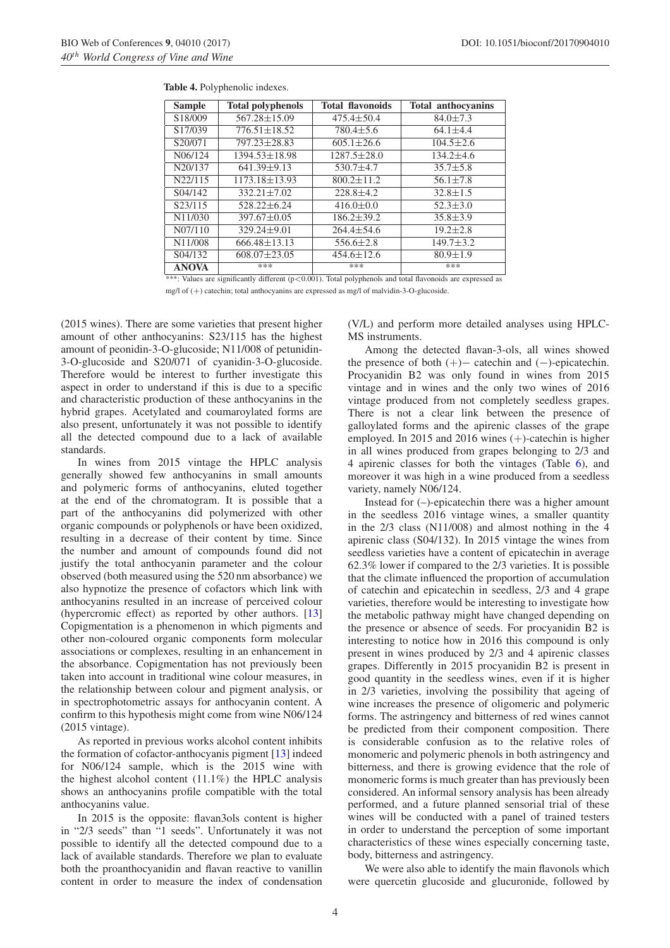| <b>Sample</b>        | <b>Total polyphenols</b> | <b>Total flavonoids</b> | <b>Total anthocyanins</b> |
|----------------------|--------------------------|-------------------------|---------------------------|
| S <sub>18</sub> /009 | $567.28 \pm 15.09$       | $475.4 \pm 50.4$        | $84.0 \pm 7.3$            |
| S17/039              | $776.51 \pm 18.52$       | $780.4 \pm 5.6$         | $64.1 \pm 4.4$            |
| S20/071              | 797.23±28.83             | $605.1 \pm 26.6$        | $104.5 \pm 2.6$           |
| N06/124              | 1394.53±18.98            | $1287.5 \pm 28.0$       | $134.2 \pm 4.6$           |
| N20/137              | $641.39 + 9.13$          | $530.7 + 4.7$           | $35.7 \pm 5.8$            |
| N22/115              | 1173.18±13.93            | $800.2 \pm 11.2$        | $56.1 \pm 7.8$            |
| S04/142              | $332.21 \pm 7.02$        | $228.8 + 4.2$           | $32.8 \pm 1.5$            |
| S23/115              | $528.22 \pm 6.24$        | $416.0 \pm 0.0$         | $52.3 \pm 3.0$            |
| N11/030              | $397.67 \pm 0.05$        | $186.2 \pm 39.2$        | $35.8 \pm 3.9$            |
| N07/110              | $329.24 \pm 9.01$        | $264.4 \pm 54.6$        | $19.2 \pm 2.8$            |
| N11/008              | $666.48 \pm 13.13$       | $556.6 \pm 2.8$         | $149.7 \pm 3.2$           |
| S04/132              | $608.07 \pm 23.05$       | $454.6 \pm 12.6$        | $80.9 \pm 1.9$            |
| <b>ANOVA</b>         | ***                      | ***                     | ***                       |

<span id="page-3-0"></span>**Table 4.** Polyphenolic indexes.

\*\*: Values are significantly different  $(p<0.001)$ . Total polyphenols and total flavonoids are expressed as

mg/l of (+) catechin; total anthocyanins are expressed as mg/l of malvidin-3-O-glucoside.

(2015 wines). There are some varieties that present higher amount of other anthocyanins: S23/115 has the highest amount of peonidin-3-O-glucoside; N11/008 of petunidin-3-O-glucoside and S20/071 of cyanidin-3-O-glucoside. Therefore would be interest to further investigate this aspect in order to understand if this is due to a specific and characteristic production of these anthocyanins in the hybrid grapes. Acetylated and coumaroylated forms are also present, unfortunately it was not possible to identify all the detected compound due to a lack of available standards.

In wines from 2015 vintage the HPLC analysis generally showed few anthocyanins in small amounts and polymeric forms of anthocyanins, eluted together at the end of the chromatogram. It is possible that a part of the anthocyanins did polymerized with other organic compounds or polyphenols or have been oxidized, resulting in a decrease of their content by time. Since the number and amount of compounds found did not justify the total anthocyanin parameter and the colour observed (both measured using the 520 nm absorbance) we also hypnotize the presence of cofactors which link with anthocyanins resulted in an increase of perceived colour (hypercromic effect) as reported by other authors. [\[13\]](#page-5-12) Copigmentation is a phenomenon in which pigments and other non-coloured organic components form molecular associations or complexes, resulting in an enhancement in the absorbance. Copigmentation has not previously been taken into account in traditional wine colour measures, in the relationship between colour and pigment analysis, or in spectrophotometric assays for anthocyanin content. A confirm to this hypothesis might come from wine N06/124 (2015 vintage).

As reported in previous works alcohol content inhibits the formation of cofactor-anthocyanis pigment [\[13](#page-5-12)] indeed for N06/124 sample, which is the 2015 wine with the highest alcohol content  $(11.1\%)$  the HPLC analysis shows an anthocyanins profile compatible with the total anthocyanins value.

In 2015 is the opposite: flavan3ols content is higher in "2/3 seeds" than "1 seeds". Unfortunately it was not possible to identify all the detected compound due to a lack of available standards. Therefore we plan to evaluate both the proanthocyanidin and flavan reactive to vanillin content in order to measure the index of condensation (V/L) and perform more detailed analyses using HPLC-MS instruments.

Among the detected flavan-3-ols, all wines showed the presence of both  $(+)$  – catechin and  $(-)$ -epicatechin. Procyanidin B2 was only found in wines from 2015 vintage and in wines and the only two wines of 2016 vintage produced from not completely seedless grapes. There is not a clear link between the presence of galloylated forms and the apirenic classes of the grape employed. In 2015 and 2016 wines (+)-catechin is higher in all wines produced from grapes belonging to 2/3 and 4 apirenic classes for both the vintages (Table [6\)](#page-4-1), and moreover it was high in a wine produced from a seedless variety, namely N06/124.

Instead for (–)-epicatechin there was a higher amount in the seedless 2016 vintage wines, a smaller quantity in the 2/3 class (N11/008) and almost nothing in the 4 apirenic class (S04/132). In 2015 vintage the wines from seedless varieties have a content of epicatechin in average 62.3% lower if compared to the 2/3 varieties. It is possible that the climate influenced the proportion of accumulation of catechin and epicatechin in seedless, 2/3 and 4 grape varieties, therefore would be interesting to investigate how the metabolic pathway might have changed depending on the presence or absence of seeds. For procyanidin B2 is interesting to notice how in 2016 this compound is only present in wines produced by 2/3 and 4 apirenic classes grapes. Differently in 2015 procyanidin B2 is present in good quantity in the seedless wines, even if it is higher in 2/3 varieties, involving the possibility that ageing of wine increases the presence of oligomeric and polymeric forms. The astringency and bitterness of red wines cannot be predicted from their component composition. There is considerable confusion as to the relative roles of monomeric and polymeric phenols in both astringency and bitterness, and there is growing evidence that the role of monomeric forms is much greater than has previously been considered. An informal sensory analysis has been already performed, and a future planned sensorial trial of these wines will be conducted with a panel of trained testers in order to understand the perception of some important characteristics of these wines especially concerning taste, body, bitterness and astringency.

We were also able to identify the main flavonols which were quercetin glucoside and glucuronide, followed by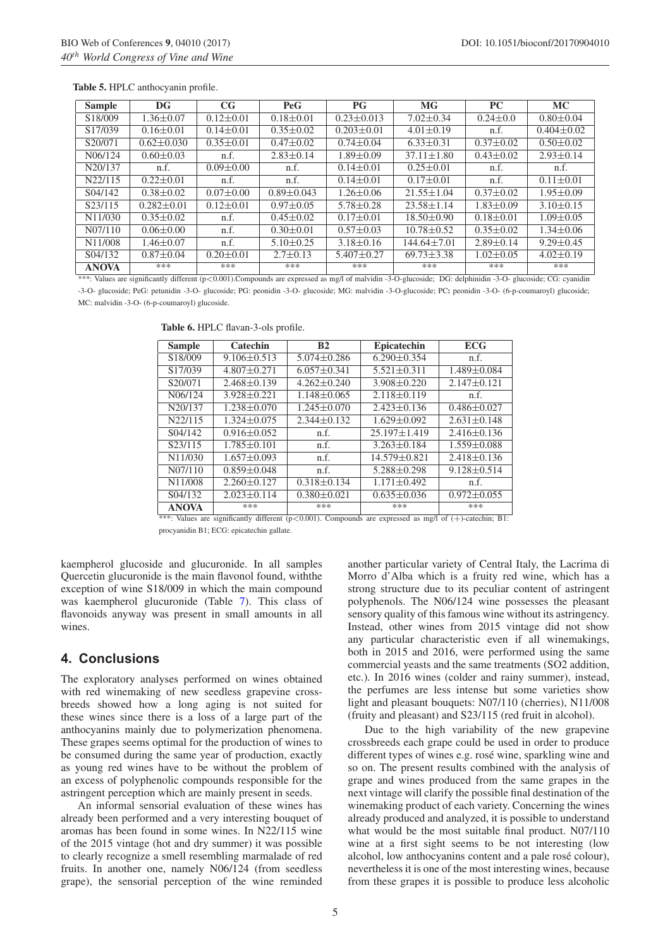| <b>Sample</b>        | DG               | CG              | <b>PeG</b>       | P G              | <b>MG</b>                                                                                                                                                         | <b>PC</b>       | <b>MC</b>        |
|----------------------|------------------|-----------------|------------------|------------------|-------------------------------------------------------------------------------------------------------------------------------------------------------------------|-----------------|------------------|
| S <sub>18</sub> /009 | $1.36 \pm 0.07$  | $0.12 \pm 0.01$ | $0.18 \pm 0.01$  | $0.23 \pm 0.013$ | $7.02 \pm 0.34$                                                                                                                                                   | $0.24 \pm 0.0$  | $0.80 \pm 0.04$  |
| S <sub>17</sub> /039 | $0.16 \pm 0.01$  | $0.14 \pm 0.01$ | $0.35 \pm 0.02$  | $0.203 \pm 0.01$ | $4.01 \pm 0.19$                                                                                                                                                   | n.f.            | $0.404 \pm 0.02$ |
| S20/071              | $0.62 \pm 0.030$ | $0.35 \pm 0.01$ | $0.47 \pm 0.02$  | $0.74 \pm 0.04$  | $6.33 \pm 0.31$                                                                                                                                                   | $0.37 \pm 0.02$ | $0.50 \pm 0.02$  |
| N06/124              | $0.60 \pm 0.03$  | n.f.            | $2.83 \pm 0.14$  | $1.89 \pm 0.09$  | $37.11 \pm 1.80$                                                                                                                                                  | $0.43 \pm 0.02$ | $2.93 \pm 0.14$  |
| N20/137              | n.f.             | $0.09 \pm 0.00$ | n.f.             | $0.14 \pm 0.01$  | $0.25 \pm 0.01$                                                                                                                                                   | n.f.            | n.f.             |
| N22/115              | $0.22 \pm 0.01$  | n.f.            | n.f.             | $0.14 \pm 0.01$  | $0.17 \pm 0.01$                                                                                                                                                   | n.f.            | $0.11 \pm 0.01$  |
| S04/142              | $0.38 \pm 0.02$  | $0.07 \pm 0.00$ | $0.89 \pm 0.043$ | $1.26 \pm 0.06$  | $21.55 \pm 1.04$                                                                                                                                                  | $0.37 \pm 0.02$ | $1.95 \pm 0.09$  |
| S23/115              | $0.282 \pm 0.01$ | $0.12 \pm 0.01$ | $0.97 \pm 0.05$  | $5.78 \pm 0.28$  | $23.58 \pm 1.14$                                                                                                                                                  | $1.83 \pm 0.09$ | $3.10 \pm 0.15$  |
| N11/030              | $0.35 \pm 0.02$  | n.f.            | $0.45 \pm 0.02$  | $0.17 \pm 0.01$  | $18.50 \pm 0.90$                                                                                                                                                  | $0.18 \pm 0.01$ | $1.09 \pm 0.05$  |
| N07/110              | $0.06 \pm 0.00$  | n.f.            | $0.30 \pm 0.01$  | $0.57 \pm 0.03$  | $10.78 \pm 0.52$                                                                                                                                                  | $0.35 \pm 0.02$ | $1.34 \pm 0.06$  |
| N11/008              | $1.46 \pm 0.07$  | n.f.            | $5.10 \pm 0.25$  | $3.18 \pm 0.16$  | $144.64 \pm 7.01$                                                                                                                                                 | $2.89 \pm 0.14$ | $9.29 \pm 0.45$  |
| S04/132              | $0.87 \pm 0.04$  | $0.20 \pm 0.01$ | $2.7 \pm 0.13$   | $5.407 \pm 0.27$ | $69.73 \pm 3.38$                                                                                                                                                  | $1.02 \pm 0.05$ | $4.02 \pm 0.19$  |
| <b>ANOVA</b>         | ***              | ***             | ***              | ***              | ***                                                                                                                                                               | ***             | ***              |
|                      |                  |                 |                  |                  | ***; Values are significantly different ( $p < 0.001$ ). Compounds are expressed as mg/l of malvidin -3-O-glucoside; DG; delphinidin -3-O-glucoside; CG; cvanidin |                 |                  |

#### <span id="page-4-0"></span>**Table 5.** HPLC anthocyanin profile.

-3-O- glucoside; PeG: petunidin -3-O- glucoside; PG: peonidin -3-O- glucoside; MG: malvidin -3-O-glucoside; PC**:** peonidin -3-O- (6-p-coumaroyl) glucoside; MC: malvidin -3-O- (6-p-coumaroyl) glucoside.

| <b>Sample</b> | Catechin          | B <sub>2</sub>    | Epicatechin                                                                                                | <b>ECG</b>        |
|---------------|-------------------|-------------------|------------------------------------------------------------------------------------------------------------|-------------------|
| S18/009       | $9.106 \pm 0.513$ | $5.074 \pm 0.286$ | $6.290 \pm 0.354$                                                                                          | n.f.              |
| S17/039       | $4.807 \pm 0.271$ | $6.057 \pm 0.341$ | $5.521 \pm 0.311$                                                                                          | $1.489 \pm 0.084$ |
| S20/071       | $2.468 \pm 0.139$ | $4.262 \pm 0.240$ | $3.908 \pm 0.220$                                                                                          | $2.147 \pm 0.121$ |
| N06/124       | $3.928 \pm 0.221$ | $1.148 \pm 0.065$ | $2.118 \pm 0.119$                                                                                          | n.f.              |
| N20/137       | $1.238 \pm 0.070$ | $1.245 \pm 0.070$ | $2.423 \pm 0.136$                                                                                          | $0.486 \pm 0.027$ |
| N22/115       | $1.324 \pm 0.075$ | $2.344 \pm 0.132$ | $1.629 \pm 0.092$                                                                                          | $2.631 \pm 0.148$ |
| S04/142       | $0.916 \pm 0.052$ | n.f.              | $25.197 \pm 1.419$                                                                                         | $2.416 \pm 0.136$ |
| S23/115       | $1.785 \pm 0.101$ | n.f.              | $3.263 \pm 0.184$                                                                                          | 1.559±0.088       |
| N11/030       | $1.657 \pm 0.093$ | n.f.              | 14.579±0.821                                                                                               | $2.418 \pm 0.136$ |
| N07/110       | $0.859 \pm 0.048$ | n.f.              | $5.288 \pm 0.298$                                                                                          | $9.128 \pm 0.514$ |
| N11/008       | $2.260 \pm 0.127$ | $0.318 \pm 0.134$ | $1.171 \pm 0.492$                                                                                          | n.f.              |
| S04/132       | $2.023 \pm 0.114$ | $0.380 \pm 0.021$ | $0.635 \pm 0.036$                                                                                          | $0.972 \pm 0.055$ |
| <b>ANOVA</b>  | ***               | ***               | ***                                                                                                        | ***               |
|               |                   |                   | *** Values are significantly different $(n<0.001)$ Compounds are expressed as mg/l of $(+)$ -catechin: R1: |                   |

<span id="page-4-1"></span>**Table 6.** HPLC flavan-3-ols profile.

\*\*\*: Values are significantly different (p<0.001). Compounds are expressed as mg/l of (+)-catechin; B1: procyanidin B1; ECG: epicatechin gallate.

kaempherol glucoside and glucuronide. In all samples Quercetin glucuronide is the main flavonol found, withthe exception of wine S18/009 in which the main compound was kaempherol glucuronide (Table [7\)](#page-5-13). This class of flavonoids anyway was present in small amounts in all wines.

# **4. Conclusions**

The exploratory analyses performed on wines obtained with red winemaking of new seedless grapevine crossbreeds showed how a long aging is not suited for these wines since there is a loss of a large part of the anthocyanins mainly due to polymerization phenomena. These grapes seems optimal for the production of wines to be consumed during the same year of production, exactly as young red wines have to be without the problem of an excess of polyphenolic compounds responsible for the astringent perception which are mainly present in seeds.

An informal sensorial evaluation of these wines has already been performed and a very interesting bouquet of aromas has been found in some wines. In N22/115 wine of the 2015 vintage (hot and dry summer) it was possible to clearly recognize a smell resembling marmalade of red fruits. In another one, namely N06/124 (from seedless grape), the sensorial perception of the wine reminded another particular variety of Central Italy, the Lacrima di Morro d'Alba which is a fruity red wine, which has a strong structure due to its peculiar content of astringent polyphenols. The N06/124 wine possesses the pleasant sensory quality of this famous wine without its astringency. Instead, other wines from 2015 vintage did not show any particular characteristic even if all winemakings, both in 2015 and 2016, were performed using the same commercial yeasts and the same treatments (SO2 addition, etc.). In 2016 wines (colder and rainy summer), instead, the perfumes are less intense but some varieties show light and pleasant bouquets: N07/110 (cherries), N11/008 (fruity and pleasant) and S23/115 (red fruit in alcohol).

Due to the high variability of the new grapevine crossbreeds each grape could be used in order to produce different types of wines e.g. rosé wine, sparkling wine and so on. The present results combined with the analysis of grape and wines produced from the same grapes in the next vintage will clarify the possible final destination of the winemaking product of each variety. Concerning the wines already produced and analyzed, it is possible to understand what would be the most suitable final product. N07/110 wine at a first sight seems to be not interesting (low alcohol, low anthocyanins content and a pale rosé colour), nevertheless it is one of the most interesting wines, because from these grapes it is possible to produce less alcoholic